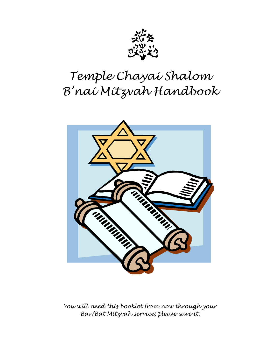

# *Temple Chayai Shalom B'nai Mitzvah Handbook*



*You will need this booklet from now through your Bar/Bat Mitzvah service; please save it.*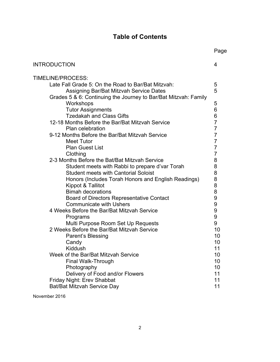# **Table of Contents**

|                                                                 | Page           |
|-----------------------------------------------------------------|----------------|
| <b>INTRODUCTION</b>                                             | 4              |
| TIMELINE/PROCESS:                                               |                |
| Late Fall Grade 5: On the Road to Bar/Bat Mitzvah:              | 5              |
| <b>Assigning Bar/Bat Mitzvah Service Dates</b>                  | 5              |
| Grades 5 & 6: Continuing the Journey to Bar/Bat Mitzvah: Family |                |
| Workshops                                                       | 5              |
| <b>Tutor Assignments</b>                                        | 6              |
| <b>Tzedakah and Class Gifts</b>                                 | 6              |
| 12-18 Months Before the Bar/Bat Mitzvah Service                 | $\overline{7}$ |
| Plan celebration                                                | $\overline{7}$ |
| 9-12 Months Before the Bar/Bat Mitzvah Service                  | $\overline{7}$ |
| <b>Meet Tutor</b>                                               | $\overline{7}$ |
| <b>Plan Guest List</b>                                          | $\overline{7}$ |
| Clothing                                                        | 7              |
| 2-3 Months Before the Bat/Bat Mitzvah Service                   | 8              |
| Student meets with Rabbi to prepare d'var Torah                 | 8              |
| <b>Student meets with Cantorial Soloist</b>                     | 8              |
| Honors (Includes Torah Honors and English Readings)             | 8              |
| Kippot & Tallitot                                               | 8              |
| <b>Bimah decorations</b>                                        | 8              |
| <b>Board of Directors Representative Contact</b>                | 9              |
| <b>Communicate with Ushers</b>                                  | 9              |
| 4 Weeks Before the Bar/Bat Mitzvah Service                      | 9              |
| Programs                                                        | 9              |
| Multi Purpose Room Set Up Requests                              | 9              |
| 2 Weeks Before the Bar/Bat Mitzvah Service                      | 10             |
| Parent's Blessing                                               | 10             |
| Candy                                                           | 10             |
| Kiddush                                                         | 11             |
| Week of the Bar/Bat Mitzvah Service                             | 10             |
| Final Walk-Through                                              | 10             |
| Photography                                                     | 10             |
| Delivery of Food and/or Flowers                                 | 11             |
| Friday Night: Erev Shabbat                                      | 11             |
| Bat/Bat Mitzvah Service Day                                     | 11             |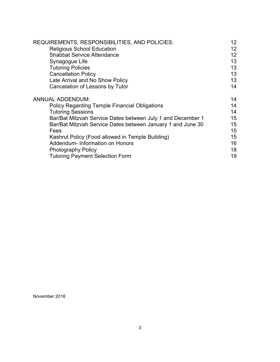| REQUIREMENTS, RESPONSIBILITIES, AND POLICIES:               | 12 <sup>°</sup> |
|-------------------------------------------------------------|-----------------|
| <b>Religious School Education</b>                           | 12              |
| <b>Shabbat Service Attendance</b>                           | 12 <sup>2</sup> |
| Synagogue Life                                              | 13              |
| <b>Tutoring Policies</b>                                    | 13              |
| <b>Cancellation Policy</b>                                  | 13              |
| Late Arrival and No Show Policy                             | 13              |
| Cancelation of Lessons by Tutor                             | 14              |
| <b>ANNUAL ADDENDUM:</b>                                     | 14              |
| <b>Policy Regarding Temple Financial Obligations</b>        | 14              |
| <b>Tutoring Sessions</b>                                    | 14              |
| Bar/Bat Mitzvah Service Dates between July 1 and December 1 | 15              |
| Bar/Bat Mitzvah Service Dates between January 1 and June 30 | 15              |
| Fees                                                        | 15              |
| Kashrut Policy (Food allowed in Temple Building)            | 15              |
| Addendum- Information on Honors                             | 16              |
| <b>Photography Policy</b>                                   | 18              |
| <b>Tutoring Payment Selection Form</b>                      | 19              |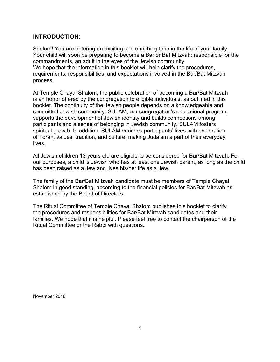### **INTRODUCTION:**

Shalom! You are entering an exciting and enriching time in the life of your family. Your child will soon be preparing to become a Bar or Bat Mitzvah: responsible for the commandments, an adult in the eyes of the Jewish community. We hope that the information in this booklet will help clarify the procedures, requirements, responsibilities, and expectations involved in the Bar/Bat Mitzvah process.

At Temple Chayai Shalom, the public celebration of becoming a Bar/Bat Mitzvah is an honor offered by the congregation to eligible individuals, as outlined in this booklet. The continuity of the Jewish people depends on a knowledgeable and committed Jewish community. SULAM, our congregation's educational program, supports the development of Jewish identity and builds connections among participants and a sense of belonging in Jewish community. SULAM fosters spiritual growth. In addition, SULAM enriches participants' lives with exploration of Torah, values, tradition, and culture, making Judaism a part of their everyday lives.

All Jewish children 13 years old are eligible to be considered for Bar/Bat Mitzvah. For our purposes, a child is Jewish who has at least one Jewish parent, as long as the child has been raised as a Jew and lives his/her life as a Jew.

The family of the Bar/Bat Mitzvah candidate must be members of Temple Chayai Shalom in good standing, according to the financial policies for Bar/Bat Mitzvah as established by the Board of Directors.

The Ritual Committee of Temple Chayai Shalom publishes this booklet to clarify the procedures and responsibilities for Bar/Bat Mitzvah candidates and their families. We hope that it is helpful. Please feel free to contact the chairperson of the Ritual Committee or the Rabbi with questions.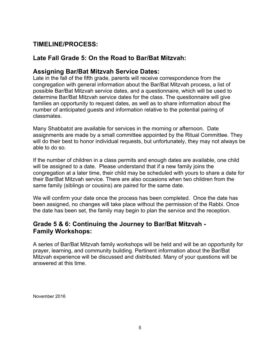# **TIMELINE/PROCESS:**

# **Late Fall Grade 5: On the Road to Bar/Bat Mitzvah:**

# **Assigning Bar/Bat Mitzvah Service Dates:**

Late in the fall of the fifth grade, parents will receive correspondence from the congregation with general information about the Bar/Bat Mitzvah process, a list of possible Bar/Bat Mitzvah service dates, and a questionnaire, which will be used to determine Bar/Bat Mitzvah service dates for the class. The questionnaire will give families an opportunity to request dates, as well as to share information about the number of anticipated guests and information relative to the potential pairing of classmates.

Many Shabbatot are available for services in the morning or afternoon. Date assignments are made by a small committee appointed by the Ritual Committee. They will do their best to honor individual requests, but unfortunately, they may not always be able to do so.

If the number of children in a class permits and enough dates are available, one child will be assigned to a date. Please understand that if a new family joins the congregation at a later time, their child may be scheduled with yours to share a date for their Bar/Bat Mitzvah service. There are also occasions when two children from the same family (siblings or cousins) are paired for the same date.

We will confirm your date once the process has been completed. Once the date has been assigned, no changes will take place without the permission of the Rabbi. Once the date has been set, the family may begin to plan the service and the reception.

# **Grade 5 & 6: Continuing the Journey to Bar/Bat Mitzvah - Family Workshops:**

A series of Bar/Bat Mitzvah family workshops will be held and will be an opportunity for prayer, learning, and community building. Pertinent information about the Bar/Bat Mitzvah experience will be discussed and distributed. Many of your questions will be answered at this time.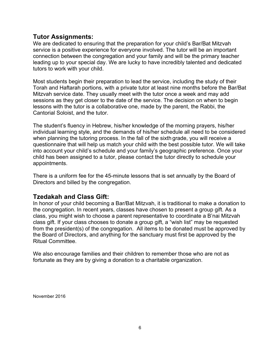### **Tutor Assignments:**

We are dedicated to ensuring that the preparation for your child's Bar/Bat Mitzvah service is a positive experience for everyone involved. The tutor will be an important connection between the congregation and your family and will be the primary teacher leading up to your special day. We are lucky to have incredibly talented and dedicated tutors to work with your child.

Most students begin their preparation to lead the service, including the study of their Torah and Haftarah portions, with a private tutor at least nine months before the Bar/Bat Mitzvah service date. They usually meet with the tutor once a week and may add sessions as they get closer to the date of the service. The decision on when to begin lessons with the tutor is a collaborative one, made by the parent, the Rabbi, the Cantorial Soloist, and the tutor.

The student's fluency in Hebrew, his/her knowledge of the morning prayers, his/her individual learning style, and the demands of his/her schedule all need to be considered when planning the tutoring process. In the fall of the sixth grade, you will receive a questionnaire that will help us match your child with the best possible tutor. We will take into account your child's schedule and your family's geographic preference. Once your child has been assigned to a tutor, please contact the tutor directly to schedule your appointments.

There is a uniform fee for the 45-minute lessons that is set annually by the Board of Directors and billed by the congregation.

# **Tzedakah and Class Gift:**

In honor of your child becoming a Bar/Bat Mitzvah, it is traditional to make a donation to the congregation. In recent years, classes have chosen to present a group gift. As a class, you might wish to choose a parent representative to coordinate a B'nai Mitzvah class gift. If your class chooses to donate a group gift, a "wish list" may be requested from the president(s) of the congregation. All items to be donated must be approved by the Board of Directors, and anything for the sanctuary must first be approved by the Ritual Committee.

We also encourage families and their children to remember those who are not as fortunate as they are by giving a donation to a charitable organization.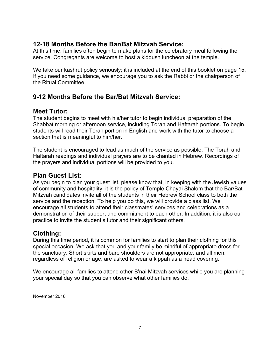# **12-18 Months Before the Bar/Bat Mitzvah Service:**

At this time, families often begin to make plans for the celebratory meal following the service. Congregants are welcome to host a kiddush luncheon at the temple.

We take our kashrut policy seriously; it is included at the end of this booklet on page 15. If you need some guidance, we encourage you to ask the Rabbi or the chairperson of the Ritual Committee.

# **9-12 Months Before the Bar/Bat Mitzvah Service:**

### **Meet Tutor:**

The student begins to meet with his/her tutor to begin individual preparation of the Shabbat morning or afternoon service, including Torah and Haftarah portions. To begin, students will read their Torah portion in English and work with the tutor to choose a section that is meaningful to him/her.

The student is encouraged to lead as much of the service as possible. The Torah and Haftarah readings and individual prayers are to be chanted in Hebrew. Recordings of the prayers and individual portions will be provided to you.

# **Plan Guest List:**

As you begin to plan your guest list, please know that, in keeping with the Jewish values of community and hospitality, it is the policy of Temple Chayai Shalom that the Bar/Bat Mitzvah candidates invite all of the students in their Hebrew School class to both the service and the reception. To help you do this, we will provide a class list. We encourage all students to attend their classmates' services and celebrations as a demonstration of their support and commitment to each other. In addition, it is also our practice to invite the student's tutor and their significant others.

# **Clothing:**

During this time period, it is common for families to start to plan their clothing for this special occasion. We ask that you and your family be mindful of appropriate dress for the sanctuary. Short skirts and bare shoulders are not appropriate, and all men, regardless of religion or age, are asked to wear a kippah as a head covering.

We encourage all families to attend other B'nai Mitzvah services while you are planning your special day so that you can observe what other families do.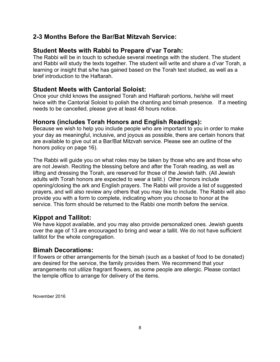# **2-3 Months Before the Bar/Bat Mitzvah Service:**

# **Student Meets with Rabbi to Prepare d'var Torah:**

The Rabbi will be in touch to schedule several meetings with the student. The student and Rabbi will study the texts together. The student will write and share a d'var Torah, a learning or insight that s/he has gained based on the Torah text studied, as well as a brief introduction to the Haftarah.

### **Student Meets with Cantorial Soloist:**

Once your child knows the assigned Torah and Haftarah portions, he/she will meet twice with the Cantorial Soloist to polish the chanting and bimah presence. If a meeting needs to be cancelled, please give at least 48 hours notice.

### **Honors (includes Torah Honors and English Readings):**

Because we wish to help you include people who are important to you in order to make your day as meaningful, inclusive, and joyous as possible, there are certain honors that are available to give out at a Bar/Bat Mitzvah service. Please see an outline of the honors policy on page 16).

The Rabbi will guide you on what roles may be taken by those who are and those who are not Jewish. Reciting the blessing before and after the Torah reading, as well as lifting and dressing the Torah, are reserved for those of the Jewish faith. (All Jewish adults with Torah honors are expected to wear a tallit.) Other honors include opening/closing the ark and English prayers. The Rabbi will provide a list of suggested prayers, and will also review any others that you may like to include. The Rabbi will also provide you with a form to complete, indicating whom you choose to honor at the service. This form should be returned to the Rabbi one month before the service.

# **Kippot and Tallitot:**

We have kippot available, and you may also provide personalized ones. Jewish quests over the age of 13 are encouraged to bring and wear a tallit. We do not have sufficient tallitot for the whole congregation.

### **Bimah Decorations:**

If flowers or other arrangements for the bimah (such as a basket of food to be donated) are desired for the service, the family provides them. We recommend that your arrangements not utilize fragrant flowers, as some people are allergic. Please contact the temple office to arrange for delivery of the items.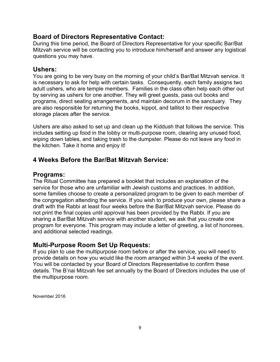### **Board of Directors Representative Contact:**

During this time period, the Board of Directors Representative for your specific Bar/Bat Mitzvah service will be contacting you to introduce him/herself and answer any logistical questions you may have.

### **Ushers:**

You are going to be very busy on the morning of your child's Bar/Bat Mitzvah service. It is necessary to ask for help with certain tasks. Consequently, each family assigns two adult ushers, who are temple members. Families in the class often help each other out by serving as ushers for one another. They will greet guests, pass out books and programs, direct seating arrangements, and maintain decorum in the sanctuary. They are also responsible for returning the books, kippot, and tallitot to their respective storage places after the service.

Ushers are also asked to set up and clean up the Kiddush that follows the service. This includes setting up food in the lobby or multi-purpose room, clearing any unused food, wiping down tables, and taking trash to the dumpster. Please do not leave any food in the kitchen. Take it home and enjoy it!

### **4 Weeks Before the Bar/Bat Mitzvah Service:**

### **Programs:**

The Ritual Committee has prepared a booklet that includes an explanation of the service for those who are unfamiliar with Jewish customs and practices. In addition, some families choose to create a personalized program to be given to each member of the congregation attending the service. If you wish to produce your own, please share a draft with the Rabbi at least four weeks before the Bar/Bat Mitzvah service. Please do not print the final copies until approval has been provided by the Rabbi. If you are sharing a Bar/Bat Mitzvah service with another student, we ask that you create one program for everyone. This program may include a letter of greeting, a list of honorees, and additional selected readings.

### **Multi-Purpose Room Set Up Requests:**

If you plan to use the multipurpose room before or after the service, you will need to provide details on how you would like the room arranged within 3-4 weeks of the event. You will be contacted by your Board of Directors Representative to confirm these details. The B'nai Mitzvah fee set annually by the Board of Directors includes the use of the multipurpose room.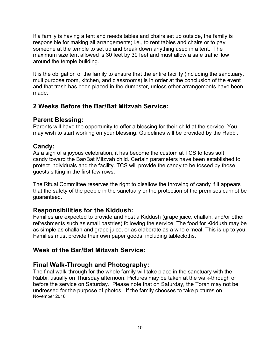If a family is having a tent and needs tables and chairs set up outside, the family is responsible for making all arrangements; i.e., to rent tables and chairs or to pay someone at the temple to set up and break down anything used in a tent. The maximum size tent allowed is 30 feet by 30 feet and must allow a safe traffic flow around the temple building.

It is the obligation of the family to ensure that the entire facility (including the sanctuary, multipurpose room, kitchen, and classrooms) is in order at the conclusion of the event and that trash has been placed in the dumpster, unless other arrangements have been made.

### **2 Weeks Before the Bar/Bat Mitzvah Service:**

### **Parent Blessing:**

Parents will have the opportunity to offer a blessing for their child at the service. You may wish to start working on your blessing. Guidelines will be provided by the Rabbi.

### **Candy:**

As a sign of a joyous celebration, it has become the custom at TCS to toss soft candy toward the Bar/Bat Mitzvah child. Certain parameters have been established to protect individuals and the facility. TCS will provide the candy to be tossed by those guests sitting in the first few rows.

The Ritual Committee reserves the right to disallow the throwing of candy if it appears that the safety of the people in the sanctuary or the protection of the premises cannot be guaranteed.

### **Responsibilities for the Kiddush:**

Families are expected to provide and host a Kiddush (grape juice, challah, and/or other refreshments such as small pastries) following the service. The food for Kiddush may be as simple as challah and grape juice, or as elaborate as a whole meal. This is up to you. Families must provide their own paper goods, including tablecloths.

### **Week of the Bar/Bat Mitzvah Service:**

### **Final Walk-Through and Photography:**

November 2016 The final walk-through for the whole family will take place in the sanctuary with the Rabbi, usually on Thursday afternoon. Pictures may be taken at the walk-through or before the service on Saturday. Please note that on Saturday, the Torah may not be undressed for the purpose of photos. If the family chooses to take pictures on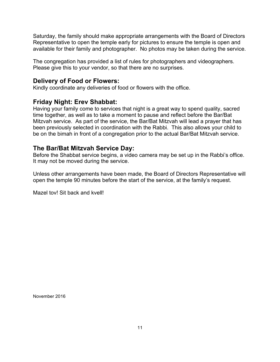Saturday, the family should make appropriate arrangements with the Board of Directors Representative to open the temple early for pictures to ensure the temple is open and available for their family and photographer. No photos may be taken during the service.

The congregation has provided a list of rules for photographers and videographers. Please give this to your vendor, so that there are no surprises.

### **Delivery of Food or Flowers:**

Kindly coordinate any deliveries of food or flowers with the office.

### **Friday Night: Erev Shabbat:**

Having your family come to services that night is a great way to spend quality, sacred time together, as well as to take a moment to pause and reflect before the Bar/Bat Mitzvah service. As part of the service, the Bar/Bat Mitzvah will lead a prayer that has been previously selected in coordination with the Rabbi. This also allows your child to be on the bimah in front of a congregation prior to the actual Bar/Bat Mitzvah service.

# **The Bar/Bat Mitzvah Service Day:**

Before the Shabbat service begins, a video camera may be set up in the Rabbi's office. It may not be moved during the service.

Unless other arrangements have been made, the Board of Directors Representative will open the temple 90 minutes before the start of the service, at the family's request.

Mazel tov! Sit back and kvell!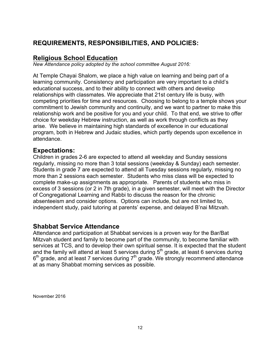# **REQUIREMENTS, RESPONSIBILITIES, AND POLICIES:**

# **Religious School Education**

*New Attendance policy adopted by the school committee August 2016:*

At Temple Chayai Shalom, we place a high value on learning and being part of a learning community. Consistency and participation are very important to a child's educational success, and to their ability to connect with others and develop relationships with classmates. We appreciate that 21st century life is busy, with competing priorities for time and resources. Choosing to belong to a temple shows your commitment to Jewish community and continuity, and we want to partner to make this relationship work and be positive for you and your child. To that end, we strive to offer choice for weekday Hebrew instruction, as well as work through conflicts as they arise. We believe in maintaining high standards of excellence in our educational program, both in Hebrew and Judaic studies, which partly depends upon excellence in attendance.

### **Expectations:**

Children in grades 2-6 are expected to attend all weekday and Sunday sessions regularly, missing no more than 3 total sessions (weekday & Sunday) each semester. Students in grade 7 are expected to attend all Tuesday sessions regularly, missing no more than 2 sessions each semester. Students who miss class will be expected to complete make-up assignments as appropriate. Parents of students who miss in excess of 3 sessions (or 2 in 7th grade), in a given semester, will meet with the Director of Congregational Learning and Rabbi to discuss the reason for the chronic absenteeism and consider options. Options can include, but are not limited to, independent study, paid tutoring at parents' expense, and delayed B'nai Mitzvah.

### **Shabbat Service Attendance**

Attendance and participation at Shabbat services is a proven way for the Bar/Bat Mitzvah student and family to become part of the community, to become familiar with services at TCS, and to develop their own spiritual sense. It is expected that the student and the family will attend at least 5 services during  $5<sup>th</sup>$  grade, at least 6 services during  $6<sup>th</sup>$  grade, and at least 7 services during  $7<sup>th</sup>$  grade. We strongly recommend attendance at as many Shabbat morning services as possible.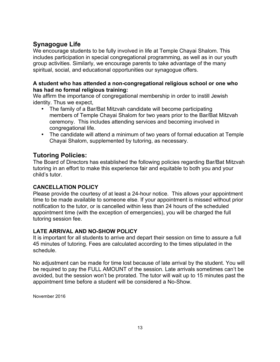# **Synagogue Life**

We encourage students to be fully involved in life at Temple Chayai Shalom. This includes participation in special congregational programming, as well as in our youth group activities. Similarly, we encourage parents to take advantage of the many spiritual, social, and educational opportunities our synagogue offers.

### **A student who has attended a non-congregational religious school or one who has had no formal religious training:**

We affirm the importance of congregational membership in order to instill Jewish identity. Thus we expect,

- The family of a Bar/Bat Mitzvah candidate will become participating members of Temple Chayai Shalom for two years prior to the Bar/Bat Mitzvah ceremony. This includes attending services and becoming involved in congregational life.
- The candidate will attend a minimum of two years of formal education at Temple Chayai Shalom, supplemented by tutoring, as necessary.

# **Tutoring Policies:**

The Board of Directors has established the following policies regarding Bar/Bat Mitzvah tutoring in an effort to make this experience fair and equitable to both you and your child's tutor.

### **CANCELLATION POLICY**

Please provide the courtesy of at least a 24-hour notice. This allows your appointment time to be made available to someone else. If your appointment is missed without prior notification to the tutor, or is cancelled within less than 24 hours of the scheduled appointment time (with the exception of emergencies), you will be charged the full tutoring session fee.

### **LATE ARRIVAL AND NO-SHOW POLICY**

It is important for all students to arrive and depart their session on time to assure a full 45 minutes of tutoring. Fees are calculated according to the times stipulated in the schedule.

No adjustment can be made for time lost because of late arrival by the student. You will be required to pay the FULL AMOUNT of the session. Late arrivals sometimes can't be avoided, but the session won't be prorated. The tutor will wait up to 15 minutes past the appointment time before a student will be considered a No-Show.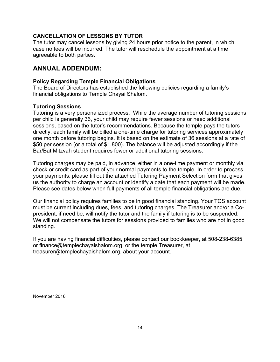### **CANCELLATION OF LESSONS BY TUTOR**

The tutor may cancel lessons by giving 24 hours prior notice to the parent, in which case no fees will be incurred. The tutor will reschedule the appointment at a time agreeable to both parties.

# **ANNUAL ADDENDUM:**

### **Policy Regarding Temple Financial Obligations**

The Board of Directors has established the following policies regarding a family's financial obligations to Temple Chayai Shalom.

### **Tutoring Sessions**

Tutoring is a very personalized process. While the average number of tutoring sessions per child is generally 36, your child may require fewer sessions or need additional sessions, based on the tutor's recommendations. Because the temple pays the tutors directly, each family will be billed a one-time charge for tutoring services approximately one month before tutoring begins. It is based on the estimate of 36 sessions at a rate of \$50 per session (or a total of \$1,800). The balance will be adjusted accordingly if the Bar/Bat Mitzvah student requires fewer or additional tutoring sessions.

Tutoring charges may be paid, in advance, either in a one-time payment or monthly via check or credit card as part of your normal payments to the temple. In order to process your payments, please fill out the attached Tutoring Payment Selection form that gives us the authority to charge an account or identify a date that each payment will be made. Please see dates below when full payments of all temple financial obligations are due.

Our financial policy requires families to be in good financial standing. Your TCS account must be current including dues, fees, and tutoring charges. The Treasurer and/or a Copresident, if need be, will notify the tutor and the family if tutoring is to be suspended. We will not compensate the tutors for sessions provided to families who are not in good standing.

If you are having financial difficulties, please contact our bookkeeper, at 508-238-6385 or finance@templechayaishalom.org, or the temple Treasurer, at treasurer@templechayaishalom.org, about your account.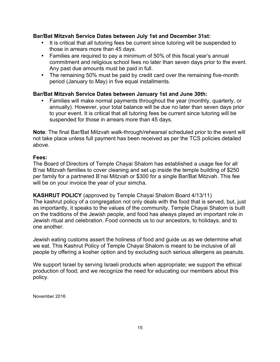### **Bar/Bat Mitzvah Service Dates between July 1st and December 31st:**

- It is critical that all tutoring fees be current since tutoring will be suspended to those in arrears more than 45 days.
- Families are required to pay a minimum of 50% of this fiscal year's annual commitment and religious school fees no later than seven days prior to the event. Any past due amounts must be paid in full.
- The remaining 50% must be paid by credit card over the remaining five-month period (January to May) in five equal installments.

### **Bar/Bat Mitzvah Service Dates between January 1st and June 30th:**

• Families will make normal payments throughout the year (monthly, quarterly, or annually). However, your total balance will be due no later than seven days prior to your event. It is critical that all tutoring fees be current since tutoring will be suspended for those in arrears more than 45 days.

**Note**: The final Bar/Bat Mitzvah walk-through/rehearsal scheduled prior to the event will not take place unless full payment has been received as per the TCS policies detailed above.

### **Fees:**

The Board of Directors of Temple Chayai Shalom has established a usage fee for all B'nai Mitzvah families to cover cleaning and set up inside the temple building of \$250 per family for a partnered B'nai Mitzvah or \$300 for a single Bar/Bat Mitzvah. This fee will be on your invoice the year of your simcha.

**KASHRUT POLICY** (approved by Temple Chayai Shalom Board 4/13/11) The kashrut policy of a congregation not only deals with the food that is served, but, just as importantly, it speaks to the values of the community. Temple Chayai Shalom is built on the traditions of the Jewish people, and food has always played an important role in Jewish ritual and celebration. Food connects us to our ancestors, to holidays, and to one another.

Jewish eating customs assert the holiness of food and guide us as we determine what we eat. This Kashrut Policy of Temple Chayai Shalom is meant to be inclusive of all people by offering a kosher option and by excluding such serious allergens as peanuts.

We support Israel by serving Israeli products when appropriate; we support the ethical production of food; and we recognize the need for educating our members about this policy.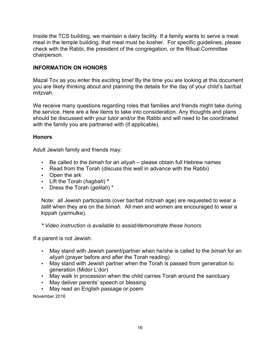Inside the TCS building, we maintain a dairy facility. If a family wants to serve a meat meal in the temple building, that meal must be kosher. For specific guidelines, please check with the Rabbi, the president of the congregation, or the Ritual Committee chairperson.

### **INFORMATION ON HONORS**

Mazal Tov as you enter this exciting time! By the time you are looking at this document you are likely thinking about and planning the details for the day of your child's bar/bat mitzvah.

We receive many questions regarding roles that families and friends might take during the service. Here are a few items to take into consideration. Any thoughts and plans should be discussed with your tutor and/or the Rabbi and will need to be coordinated with the family you are partnered with (if applicable).

### **Honors**

Adult Jewish family and friends may:

- Be called to the *bimah* for an *aliyah* please obtain full Hebrew names
- Read from the Torah (discuss this well in advance with the Rabbi)
- Open the ark
- Lift the Torah (*hagbah*) **\***
- Dress the Torah (*gelilah*) \*

Note: all Jewish participants (over bar/bat mitzvah age) are requested to wear a *tallit* when they are on the *bimah*. All men and women are encouraged to wear a kippah (yarmulke).

*\* Video instruction is available to assist/demonstrate these honors.*

If a parent is not Jewish:

- May stand with Jewish parent/partner when he/she is called to the *bimah* for an *aliyah* (prayer before and after the Torah reading)
- May stand with Jewish partner when the Torah is passed from generation to generation (Midor L'dor)
- May walk in procession when the child carries Torah around the sanctuary
- May deliver parents' speech or blessing
- May read an English passage or poem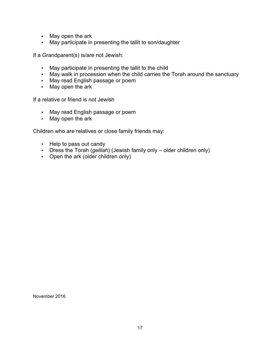- May open the ark
- May participate in presenting the tallit to son/daughter

If a Grandparent(s) is/are not Jewish:

- May participate in presenting the tallit to the child
- May walk in procession when the child carries the Torah around the sanctuary
- May read English passage or poem
- May open the ark

If a relative or friend is not Jewish

- May read English passage or poem
- May open the ark

Children who are relatives or close family friends may:

- Help to pass out candy
- Dress the Torah (*gelilah*) (Jewish family only older children only)
- Open the ark (older children only)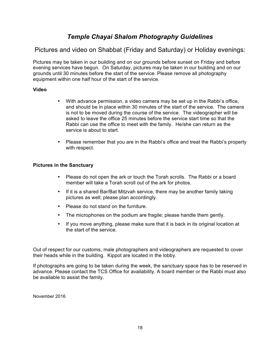# *Temple Chayai Shalom Photography Guidelines*

Pictures and video on Shabbat (Friday and Saturday) or Holiday evenings:

Pictures may be taken in our building and on our grounds before sunset on Friday and before evening services have begun. On Saturday, pictures may be taken in our building and on our grounds until 30 minutes before the start of the service. Please remove all photography equipment within one half hour of the start of the service.

#### **Video**

- With advance permission, a video camera may be set up in the Rabbi's office, and should be in place within 30 minutes of the start of the service. The camera is not to be moved during the course of the service. The videographer will be asked to leave the office 25 minutes before the service start time so that the Rabbi can use the office to meet with the family. He/she can return as the service is about to start.
- Please remember that you are in the Rabbi's office and treat the Rabbi's property with respect.

#### **Pictures in the Sanctuary**

- Please do not open the ark or touch the Torah scrolls. The Rabbi or a board member will take a Torah scroll out of the ark for photos.
- If it is a shared Bar/Bat Mitzvah service, there may be another family taking pictures as well; please plan accordingly.
- Please do not stand on the furniture.
- The microphones on the podium are fragile; please handle them gently.
- If you move anything, please make sure that it is back in its original location at the start of the service.

Out of respect for our customs, male photographers and videographers are requested to cover their heads while in the building. Kippot are located in the lobby.

If photographs are going to be taken during the week, the sanctuary space has to be reserved in advance. Please contact the TCS Office for availability. A board member or the Rabbi must also be available to assist the family.